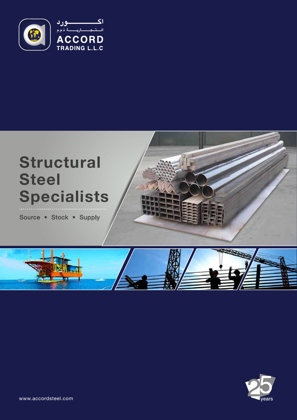

# **Structural Steel Specialists**

Source • Stock • Supply





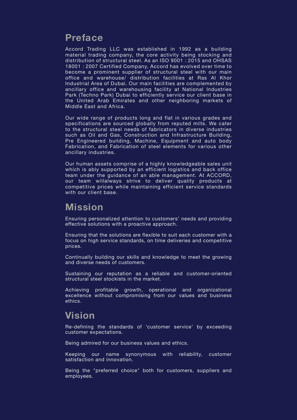### **Preface**

Accord Trading LLC was established in 1992 as a building material trading company, the core activity being stocking and distribution of structural steel. As an ISO 9001 : 2015 and OHSAS 18001 : 2007 Certified Company, Accord has evolved over time to become a prominent supplier of structural steel with our main office and warehouse/ distribution facilities at Ras Al Khor Industrial Area of Dubai. Our main facilities are complemented by ancillary office and warehousing facility at National Industries Park (Techno Park) Dubai to efficiently service our client base in the United Arab Emirates and other neighboring markets of Middle East and Africa.

Our wide range of products long and flat in various grades and specifications are sourced globally from reputed mills. We cater to the structural steel needs of fabricators in diverse industries such as Oil and Gas, Construction and Infrastructure Building, Pre Engineered building, Machine, Equipment and auto body Fabrication, and Fabrication of steel elements for various other ancillary industries.

Our human assets comprise of a highly knowledgeable sales unit which is ably supported by an efficient logistics and back office team under the guidance of an able management. At ACCORD, our team willalways strive to deliver quality products at competitive prices while maintaining efficient service standards with our client base.

#### **Mission**

Ensuring personalized attention to customers' needs and providing effective solutions with a proactive approach.

Ensuring that the solutions are flexible to suit each customer with a focus on high service standards, on time deliveries and competitive prices.

Continually building our skills and knowledge to meet the growing and diverse needs of customers.

Sustaining our reputation as a reliable and customer-oriented structural steel stockists in the market.

Achieving profitable growth, operational and organizational excellence without compromising from our values and business ethics.

#### **Vision**

Re-defining the standards of 'customer service' by exceeding customer expectations.

Being admired for our business values and ethics.

Keeping our name synonymous with reliability, customer satisfaction and innovation.

Being the "preferred choice" both for customers, suppliers and employees.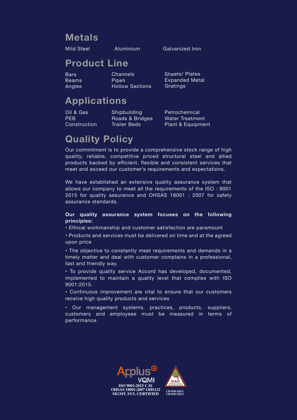### **Metals**

Mild Steel Aluminium Galvanized Iron

### **Product Line**

**Bars** Beams **Angles**  Channels **Pines** Hollow Sections Sheets/ Plates Expanded Metal Gratings

# **Applications**

Oil & Gas PEB **Construction**  **Shipbuilding** Roads & Bridges Trailer Beds

Petrochemical Water Treatment Plant & Equipment

## **Quality Policy**

Our commitment is to provide a comprehensive stock range of high quality, reliable, competitive priced structural steel and allied products backed by efficient, flexible and consistent services that meet and exceed our customer's requirements and expectations.

We have established an extensive quality assurance system that allows our company to meet all the requirements of the ISO : 9001 2015 for quality assurance and OHSAS 18001 : 2007 for safety assurance standards.

#### **Our quality assurance system focuses on the following principles:**

• Ethical workmanship and customer satisfaction are paramount

• Products and services must be delivered on time and at the agreed upon price

• The objective to constantly meet requirements and demands in a timely matter and deal with customer complains in a professional, fast and friendly way.

• To provide quality service Accord has developed, documented, implemented to maintain a quality level that complies with ISO 9001:2015.

• Continuous improvement are vital to ensure that our customers receive high quality products and services

• Our management systems, practices, products, suppliers, customers and employees must be measured in terms of performance.